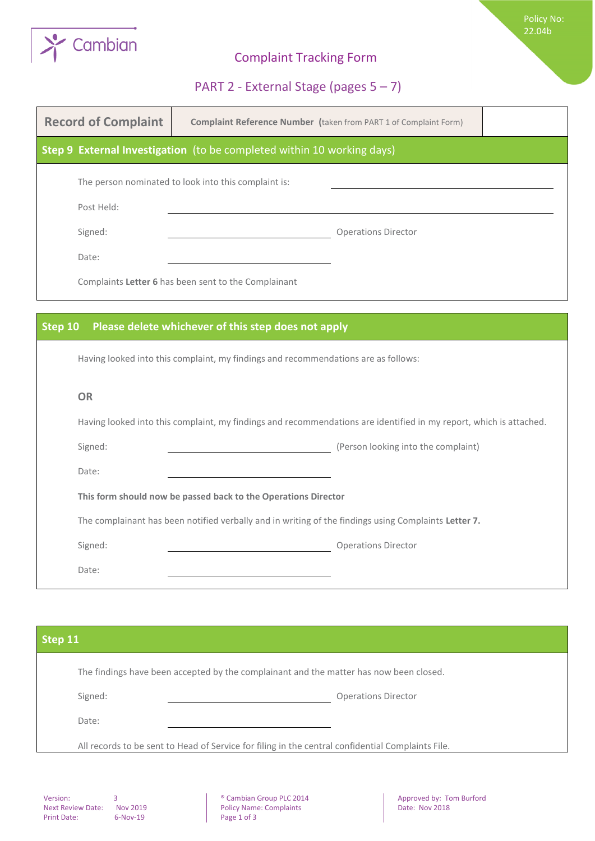

## Complaint Tracking Form

Policy No: 22.04b

## PART 2 - External Stage (pages 5 – 7)

| <b>Record of Complaint</b> | <b>Complaint Reference Number (taken from PART 1 of Complaint Form)</b>                                            |                                     |  |
|----------------------------|--------------------------------------------------------------------------------------------------------------------|-------------------------------------|--|
|                            | Step 9 External Investigation (to be completed within 10 working days)                                             |                                     |  |
|                            | The person nominated to look into this complaint is:                                                               |                                     |  |
| Post Held:                 |                                                                                                                    |                                     |  |
| Signed:                    |                                                                                                                    | <b>Operations Director</b>          |  |
| Date:                      |                                                                                                                    |                                     |  |
|                            | Complaints Letter 6 has been sent to the Complainant                                                               |                                     |  |
|                            |                                                                                                                    |                                     |  |
| Step 10                    | Please delete whichever of this step does not apply                                                                |                                     |  |
|                            | Having looked into this complaint, my findings and recommendations are as follows:                                 |                                     |  |
| <b>OR</b>                  |                                                                                                                    |                                     |  |
|                            | Having looked into this complaint, my findings and recommendations are identified in my report, which is attached. |                                     |  |
| Signed:                    |                                                                                                                    | (Person looking into the complaint) |  |
| Date:                      |                                                                                                                    |                                     |  |
|                            | This form should now be passed back to the Operations Director                                                     |                                     |  |
|                            | The complainant has been notified verbally and in writing of the findings using Complaints Letter 7.               |                                     |  |
| Signed:                    |                                                                                                                    | <b>Operations Director</b>          |  |
| Date:                      |                                                                                                                    |                                     |  |

| Step 11 |                                                                                                   |
|---------|---------------------------------------------------------------------------------------------------|
|         | The findings have been accepted by the complainant and the matter has now been closed.            |
| Signed: | <b>Operations Director</b>                                                                        |
| Date:   |                                                                                                   |
|         | All records to be sent to Head of Service for filing in the central confidential Complaints File. |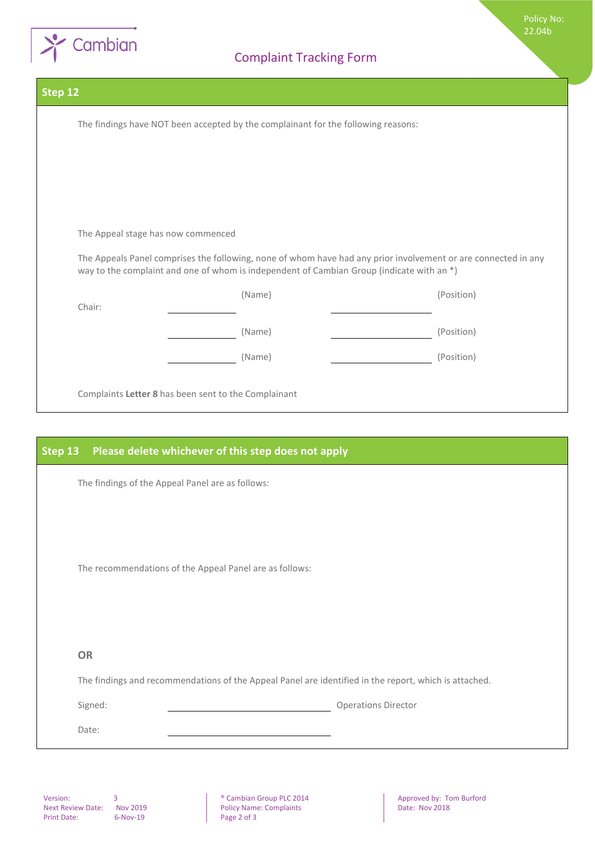

Policy No: 22.04b

| Step 12 |                                                                                                                                                                                                             |            |  |  |
|---------|-------------------------------------------------------------------------------------------------------------------------------------------------------------------------------------------------------------|------------|--|--|
|         | The findings have NOT been accepted by the complainant for the following reasons:                                                                                                                           |            |  |  |
|         |                                                                                                                                                                                                             |            |  |  |
|         |                                                                                                                                                                                                             |            |  |  |
|         |                                                                                                                                                                                                             |            |  |  |
|         | The Appeal stage has now commenced                                                                                                                                                                          |            |  |  |
|         | The Appeals Panel comprises the following, none of whom have had any prior involvement or are connected in any<br>way to the complaint and one of whom is independent of Cambian Group (indicate with an *) |            |  |  |
|         | (Name)                                                                                                                                                                                                      | (Position) |  |  |
| Chair:  | (Name)                                                                                                                                                                                                      | (Position) |  |  |
|         | (Name)                                                                                                                                                                                                      | (Position) |  |  |
|         | Complaints Letter 8 has been sent to the Complainant                                                                                                                                                        |            |  |  |

| Step 13 | Please delete whichever of this step does not apply                                                   |
|---------|-------------------------------------------------------------------------------------------------------|
|         | The findings of the Appeal Panel are as follows:                                                      |
|         |                                                                                                       |
|         |                                                                                                       |
|         | The recommendations of the Appeal Panel are as follows:                                               |
|         |                                                                                                       |
|         |                                                                                                       |
|         | <b>OR</b>                                                                                             |
|         | The findings and recommendations of the Appeal Panel are identified in the report, which is attached. |
|         | <b>Operations Director</b><br>Signed:                                                                 |
|         | Date:                                                                                                 |